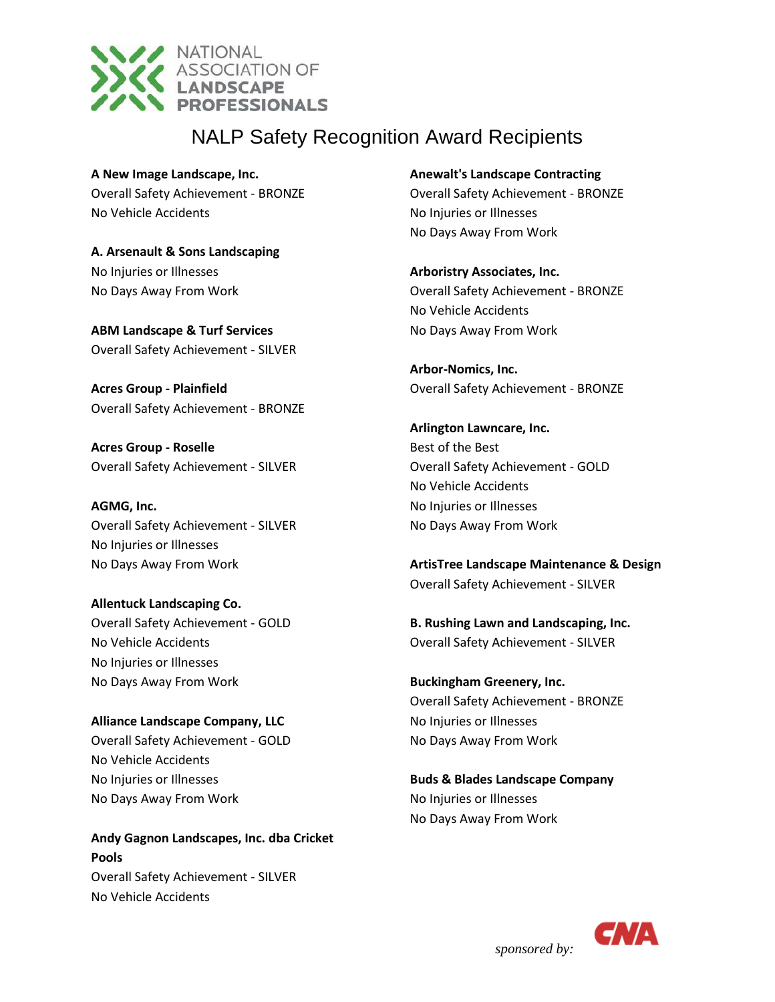

**A New Image Landscape, Inc.** Overall Safety Achievement - BRONZE No Vehicle Accidents

**A. Arsenault & Sons Landscaping** No Injuries or Illnesses No Days Away From Work

**ABM Landscape & Turf Services** Overall Safety Achievement - SILVER

**Acres Group - Plainfield** Overall Safety Achievement - BRONZE

**Acres Group - Roselle** Overall Safety Achievement - SILVER

**AGMG, Inc.** Overall Safety Achievement - SILVER No Injuries or Illnesses No Days Away From Work

**Allentuck Landscaping Co.** Overall Safety Achievement - GOLD No Vehicle Accidents No Injuries or Illnesses No Days Away From Work

**Alliance Landscape Company, LLC** Overall Safety Achievement - GOLD No Vehicle Accidents No Injuries or Illnesses No Days Away From Work

**Andy Gagnon Landscapes, Inc. dba Cricket Pools** Overall Safety Achievement - SILVER No Vehicle Accidents

**Anewalt's Landscape Contracting** Overall Safety Achievement - BRONZE No Injuries or Illnesses No Days Away From Work

**Arboristry Associates, Inc.** Overall Safety Achievement - BRONZE No Vehicle Accidents No Days Away From Work

**Arbor-Nomics, Inc.** Overall Safety Achievement - BRONZE

**Arlington Lawncare, Inc.** Best of the Best Overall Safety Achievement - GOLD No Vehicle Accidents No Injuries or Illnesses No Days Away From Work

**ArtisTree Landscape Maintenance & Design** Overall Safety Achievement - SILVER

**B. Rushing Lawn and Landscaping, Inc.** Overall Safety Achievement - SILVER

**Buckingham Greenery, Inc.** Overall Safety Achievement - BRONZE No Injuries or Illnesses No Days Away From Work

**Buds & Blades Landscape Company** No Injuries or Illnesses No Days Away From Work

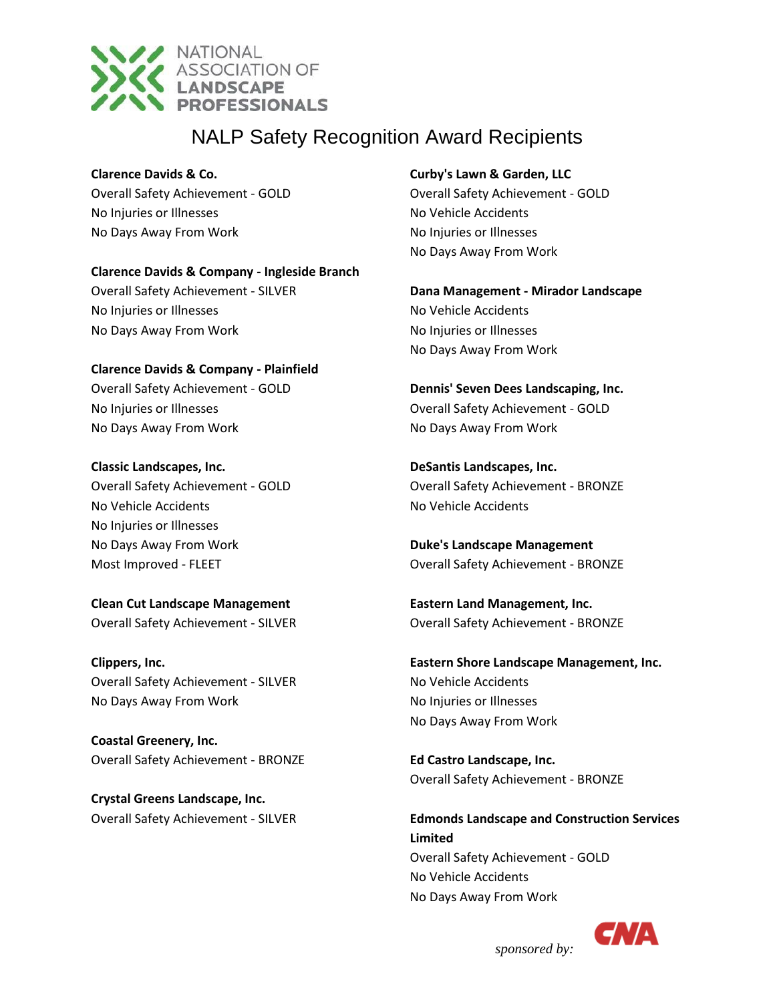

#### **Clarence Davids & Co.**

Overall Safety Achievement - GOLD No Injuries or Illnesses No Days Away From Work

#### **Clarence Davids & Company - Ingleside Branch**

Overall Safety Achievement - SILVER No Injuries or Illnesses No Days Away From Work

### **Clarence Davids & Company - Plainfield** Overall Safety Achievement - GOLD No Injuries or Illnesses No Days Away From Work

**Classic Landscapes, Inc.** Overall Safety Achievement - GOLD No Vehicle Accidents No Injuries or Illnesses No Days Away From Work Most Improved - FLEET

**Clean Cut Landscape Management** Overall Safety Achievement - SILVER

**Clippers, Inc.** Overall Safety Achievement - SILVER No Days Away From Work

**Coastal Greenery, Inc.** Overall Safety Achievement - BRONZE

**Crystal Greens Landscape, Inc.** Overall Safety Achievement - SILVER

### **Curby's Lawn & Garden, LLC**

Overall Safety Achievement - GOLD No Vehicle Accidents No Injuries or Illnesses No Days Away From Work

**Dana Management - Mirador Landscape** No Vehicle Accidents No Injuries or Illnesses No Days Away From Work

**Dennis' Seven Dees Landscaping, Inc.** Overall Safety Achievement - GOLD No Days Away From Work

**DeSantis Landscapes, Inc.** Overall Safety Achievement - BRONZE No Vehicle Accidents

**Duke's Landscape Management** Overall Safety Achievement - BRONZE

**Eastern Land Management, Inc.** Overall Safety Achievement - BRONZE

**Eastern Shore Landscape Management, Inc.** No Vehicle Accidents No Injuries or Illnesses No Days Away From Work

**Ed Castro Landscape, Inc.** Overall Safety Achievement - BRONZE

**Edmonds Landscape and Construction Services Limited** Overall Safety Achievement - GOLD No Vehicle Accidents No Days Away From Work



*sponsored by:*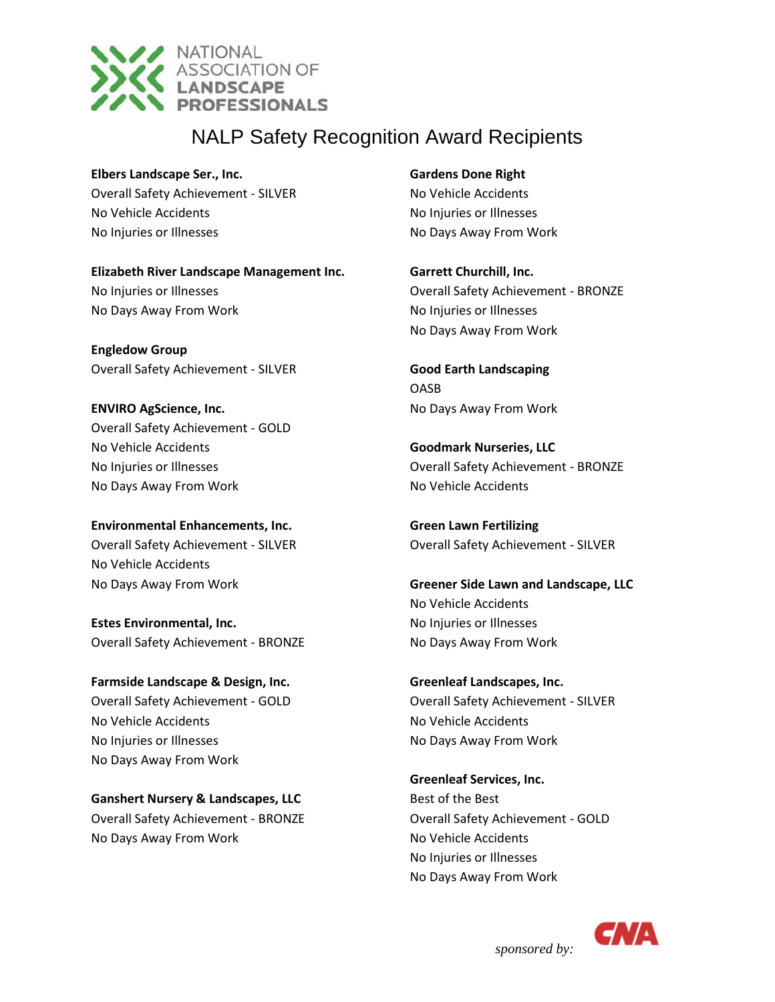

**Elbers Landscape Ser., Inc.** Overall Safety Achievement - SILVER No Vehicle Accidents No Injuries or Illnesses

**Elizabeth River Landscape Management Inc.** No Injuries or Illnesses No Days Away From Work

**Engledow Group** Overall Safety Achievement - SILVER

**ENVIRO AgScience, Inc.** Overall Safety Achievement - GOLD No Vehicle Accidents No Injuries or Illnesses No Days Away From Work

**Environmental Enhancements, Inc.** Overall Safety Achievement - SILVER No Vehicle Accidents No Days Away From Work

**Estes Environmental, Inc.** Overall Safety Achievement - BRONZE

**Farmside Landscape & Design, Inc.** Overall Safety Achievement - GOLD No Vehicle Accidents No Injuries or Illnesses No Days Away From Work

**Ganshert Nursery & Landscapes, LLC** Overall Safety Achievement - BRONZE No Days Away From Work

**Gardens Done Right** No Vehicle Accidents No Injuries or Illnesses No Days Away From Work

**Garrett Churchill, Inc.** Overall Safety Achievement - BRONZE No Injuries or Illnesses No Days Away From Work

**Good Earth Landscaping** OASB No Days Away From Work

**Goodmark Nurseries, LLC** Overall Safety Achievement - BRONZE No Vehicle Accidents

**Green Lawn Fertilizing** Overall Safety Achievement - SILVER

**Greener Side Lawn and Landscape, LLC** No Vehicle Accidents No Injuries or Illnesses No Days Away From Work

**Greenleaf Landscapes, Inc.** Overall Safety Achievement - SILVER No Vehicle Accidents No Days Away From Work

**Greenleaf Services, Inc.** Best of the Best Overall Safety Achievement - GOLD No Vehicle Accidents No Injuries or Illnesses No Days Away From Work

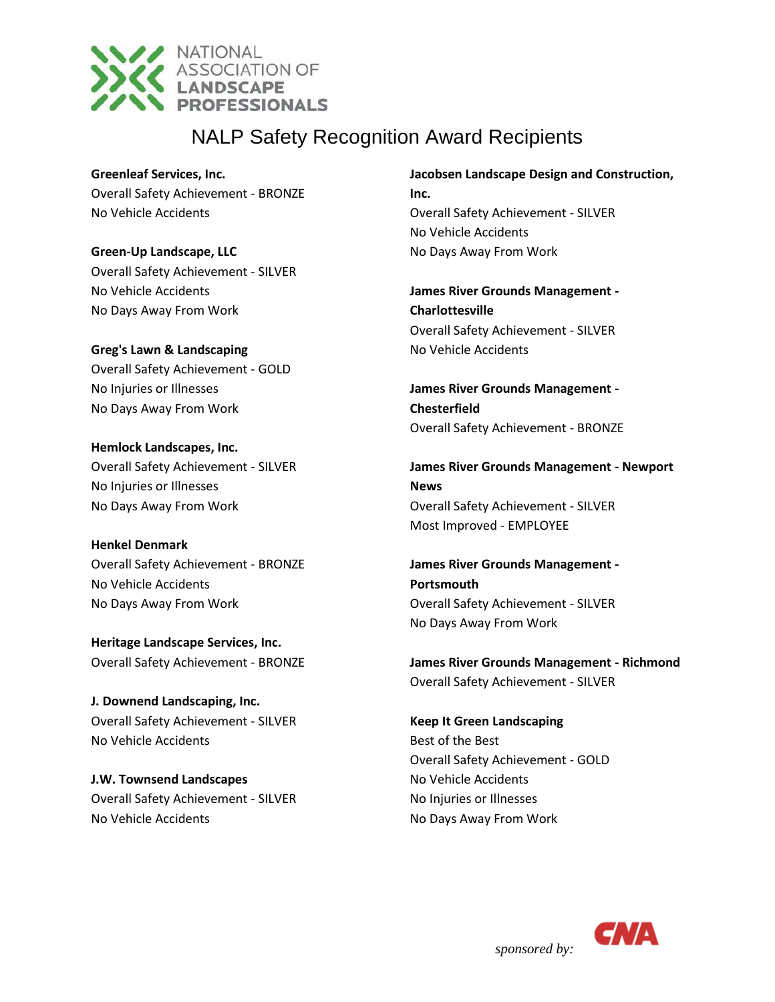

**Greenleaf Services, Inc.** Overall Safety Achievement - BRONZE No Vehicle Accidents

**Green-Up Landscape, LLC** Overall Safety Achievement - SILVER No Vehicle Accidents No Days Away From Work

**Greg's Lawn & Landscaping** Overall Safety Achievement - GOLD No Injuries or Illnesses No Days Away From Work

**Hemlock Landscapes, Inc.** Overall Safety Achievement - SILVER No Injuries or Illnesses No Days Away From Work

**Henkel Denmark** Overall Safety Achievement - BRONZE No Vehicle Accidents No Days Away From Work

**Heritage Landscape Services, Inc.** Overall Safety Achievement - BRONZE

**J. Downend Landscaping, Inc.** Overall Safety Achievement - SILVER No Vehicle Accidents

**J.W. Townsend Landscapes** Overall Safety Achievement - SILVER No Vehicle Accidents

**Jacobsen Landscape Design and Construction, Inc.** Overall Safety Achievement - SILVER No Vehicle Accidents

No Days Away From Work

**James River Grounds Management - Charlottesville** Overall Safety Achievement - SILVER No Vehicle Accidents

**James River Grounds Management - Chesterfield** Overall Safety Achievement - BRONZE

**James River Grounds Management - Newport News** Overall Safety Achievement - SILVER Most Improved - EMPLOYEE

**James River Grounds Management - Portsmouth** Overall Safety Achievement - SILVER No Days Away From Work

**James River Grounds Management - Richmond** Overall Safety Achievement - SILVER

**Keep It Green Landscaping** Best of the Best Overall Safety Achievement - GOLD No Vehicle Accidents No Injuries or Illnesses No Days Away From Work

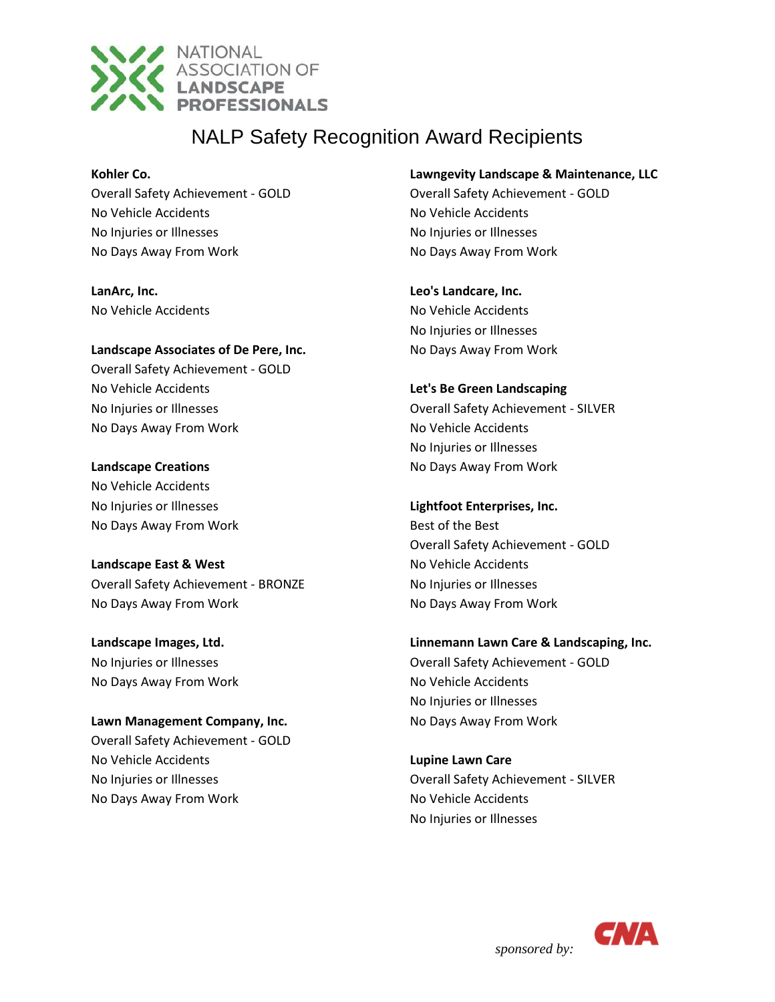

#### **Kohler Co.**

Overall Safety Achievement - GOLD No Vehicle Accidents No Injuries or Illnesses No Days Away From Work

**LanArc, Inc.** No Vehicle Accidents

#### **Landscape Associates of De Pere, Inc.**

Overall Safety Achievement - GOLD No Vehicle Accidents No Injuries or Illnesses No Days Away From Work

#### **Landscape Creations**

No Vehicle Accidents No Injuries or Illnesses No Days Away From Work

### **Landscape East & West**

Overall Safety Achievement - BRONZE No Days Away From Work

**Landscape Images, Ltd.** No Injuries or Illnesses No Days Away From Work

### **Lawn Management Company, Inc.**

Overall Safety Achievement - GOLD No Vehicle Accidents No Injuries or Illnesses No Days Away From Work

#### **Lawngevity Landscape & Maintenance, LLC**

Overall Safety Achievement - GOLD No Vehicle Accidents No Injuries or Illnesses No Days Away From Work

#### **Leo's Landcare, Inc.**

No Vehicle Accidents No Injuries or Illnesses No Days Away From Work

### **Let's Be Green Landscaping**

Overall Safety Achievement - SILVER No Vehicle Accidents No Injuries or Illnesses No Days Away From Work

### **Lightfoot Enterprises, Inc.**

Best of the Best Overall Safety Achievement - GOLD No Vehicle Accidents No Injuries or Illnesses No Days Away From Work

### **Linnemann Lawn Care & Landscaping, Inc.**

Overall Safety Achievement - GOLD No Vehicle Accidents No Injuries or Illnesses No Days Away From Work

### **Lupine Lawn Care** Overall Safety Achievement - SILVER No Vehicle Accidents No Injuries or Illnesses

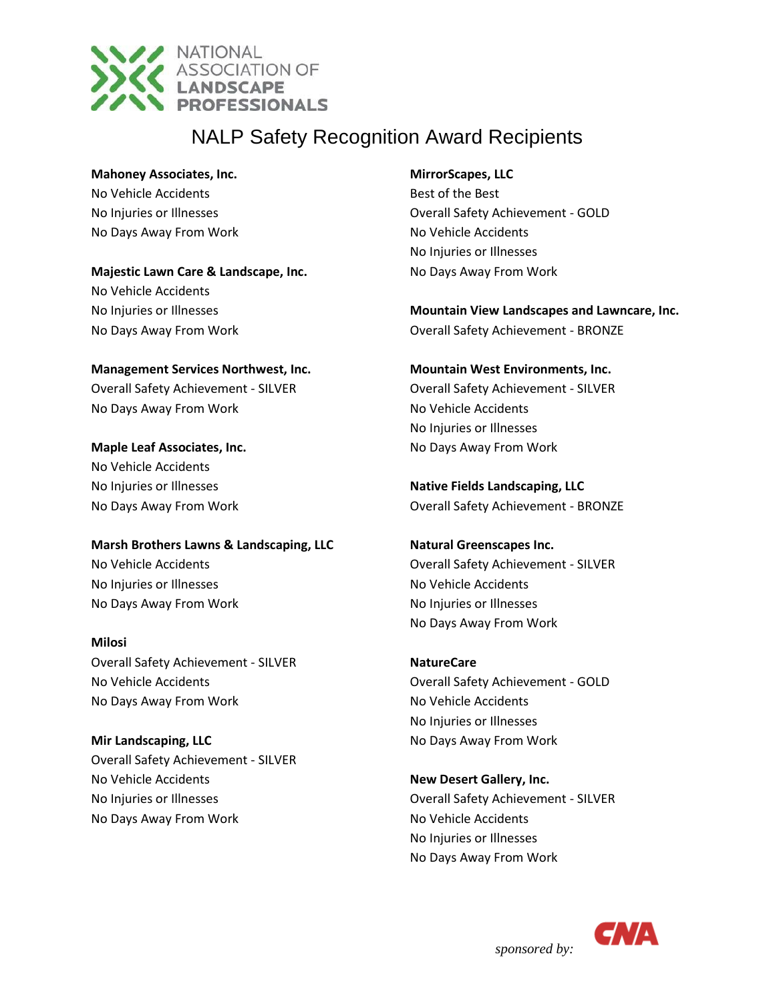

**Mahoney Associates, Inc.**

No Vehicle Accidents No Injuries or Illnesses No Days Away From Work

**Majestic Lawn Care & Landscape, Inc.** No Vehicle Accidents No Injuries or Illnesses No Days Away From Work

**Management Services Northwest, Inc.** Overall Safety Achievement - SILVER No Days Away From Work

**Maple Leaf Associates, Inc.** No Vehicle Accidents No Injuries or Illnesses No Days Away From Work

**Marsh Brothers Lawns & Landscaping, LLC** No Vehicle Accidents No Injuries or Illnesses

No Days Away From Work

**Milosi** Overall Safety Achievement - SILVER No Vehicle Accidents No Days Away From Work

**Mir Landscaping, LLC** Overall Safety Achievement - SILVER No Vehicle Accidents No Injuries or Illnesses No Days Away From Work

### **MirrorScapes, LLC**

Best of the Best Overall Safety Achievement - GOLD No Vehicle Accidents No Injuries or Illnesses No Days Away From Work

**Mountain View Landscapes and Lawncare, Inc.** Overall Safety Achievement - BRONZE

**Mountain West Environments, Inc.** Overall Safety Achievement - SILVER No Vehicle Accidents No Injuries or Illnesses

No Days Away From Work

**Native Fields Landscaping, LLC** Overall Safety Achievement - BRONZE

**Natural Greenscapes Inc.** Overall Safety Achievement - SILVER No Vehicle Accidents No Injuries or Illnesses No Days Away From Work

**NatureCare** Overall Safety Achievement - GOLD No Vehicle Accidents No Injuries or Illnesses No Days Away From Work

**New Desert Gallery, Inc.** Overall Safety Achievement - SILVER No Vehicle Accidents No Injuries or Illnesses No Days Away From Work

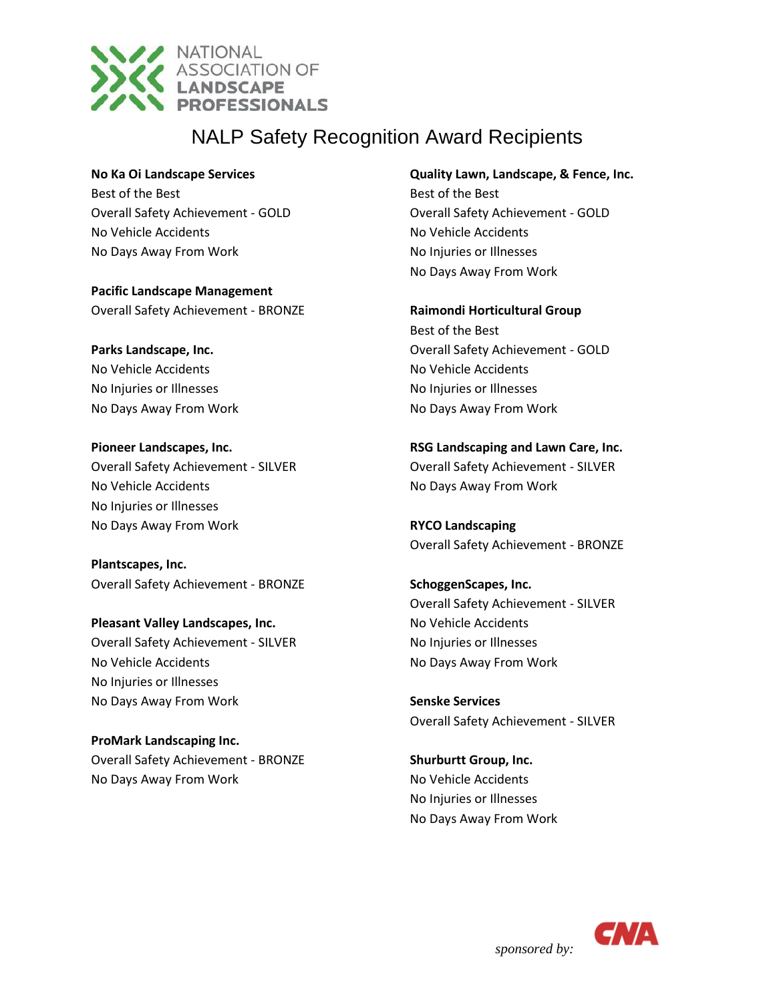

**No Ka Oi Landscape Services**

Best of the Best Overall Safety Achievement - GOLD No Vehicle Accidents No Days Away From Work

**Pacific Landscape Management** Overall Safety Achievement - BRONZE

**Parks Landscape, Inc.** No Vehicle Accidents No Injuries or Illnesses No Days Away From Work

**Pioneer Landscapes, Inc.** Overall Safety Achievement - SILVER No Vehicle Accidents No Injuries or Illnesses No Days Away From Work

**Plantscapes, Inc.** Overall Safety Achievement - BRONZE

**Pleasant Valley Landscapes, Inc.** Overall Safety Achievement - SILVER No Vehicle Accidents No Injuries or Illnesses No Days Away From Work

**ProMark Landscaping Inc.** Overall Safety Achievement - BRONZE No Days Away From Work

**Quality Lawn, Landscape, & Fence, Inc.**

Best of the Best Overall Safety Achievement - GOLD No Vehicle Accidents No Injuries or Illnesses No Days Away From Work

**Raimondi Horticultural Group** Best of the Best Overall Safety Achievement - GOLD No Vehicle Accidents No Injuries or Illnesses No Days Away From Work

**RSG Landscaping and Lawn Care, Inc.** Overall Safety Achievement - SILVER No Days Away From Work

**RYCO Landscaping** Overall Safety Achievement - BRONZE

**SchoggenScapes, Inc.** Overall Safety Achievement - SILVER No Vehicle Accidents No Injuries or Illnesses No Days Away From Work

**Senske Services** Overall Safety Achievement - SILVER

**Shurburtt Group, Inc.** No Vehicle Accidents No Injuries or Illnesses No Days Away From Work

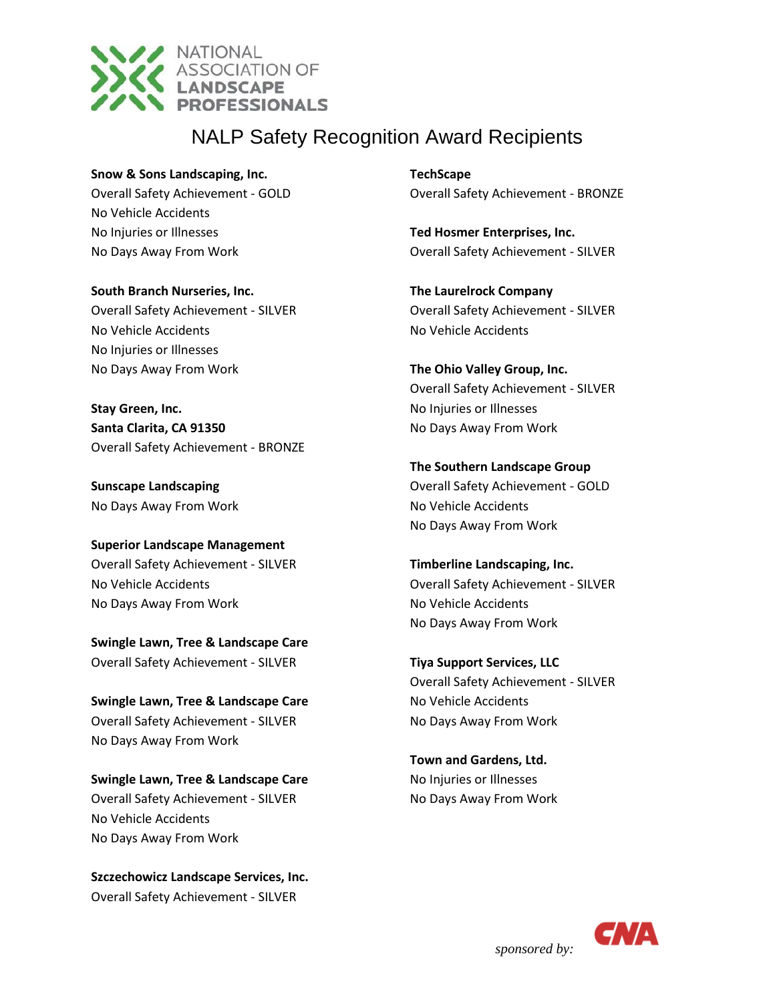

**Snow & Sons Landscaping, Inc.** Overall Safety Achievement - GOLD No Vehicle Accidents No Injuries or Illnesses No Days Away From Work

**South Branch Nurseries, Inc.** Overall Safety Achievement - SILVER No Vehicle Accidents No Injuries or Illnesses No Days Away From Work

**Stay Green, Inc. Santa Clarita, CA 91350** Overall Safety Achievement - BRONZE

**Sunscape Landscaping** No Days Away From Work

**Superior Landscape Management** Overall Safety Achievement - SILVER No Vehicle Accidents No Days Away From Work

**Swingle Lawn, Tree & Landscape Care** Overall Safety Achievement - SILVER

**Swingle Lawn, Tree & Landscape Care** Overall Safety Achievement - SILVER No Days Away From Work

**Swingle Lawn, Tree & Landscape Care** Overall Safety Achievement - SILVER No Vehicle Accidents No Days Away From Work

**Szczechowicz Landscape Services, Inc.** Overall Safety Achievement - SILVER

**TechScape** Overall Safety Achievement - BRONZE

**Ted Hosmer Enterprises, Inc.** Overall Safety Achievement - SILVER

**The Laurelrock Company** Overall Safety Achievement - SILVER No Vehicle Accidents

**The Ohio Valley Group, Inc.** Overall Safety Achievement - SILVER No Injuries or Illnesses No Days Away From Work

**The Southern Landscape Group** Overall Safety Achievement - GOLD No Vehicle Accidents No Days Away From Work

**Timberline Landscaping, Inc.** Overall Safety Achievement - SILVER No Vehicle Accidents No Days Away From Work

**Tiya Support Services, LLC** Overall Safety Achievement - SILVER No Vehicle Accidents No Days Away From Work

**Town and Gardens, Ltd.** No Injuries or Illnesses No Days Away From Work